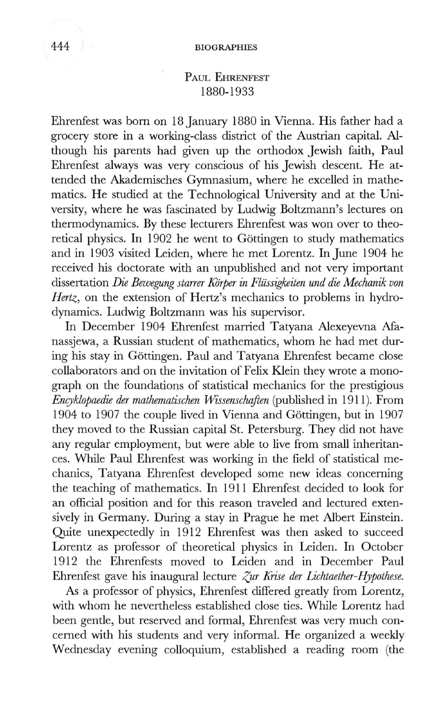# PAUL EHRENFEST 1880-1933

Ehrenfest was born on 18 January 1880 in Vienna. His father had a grocery store in a working-class district of the Austrian capital. Although his parents had given up the orthodox Jewish faith, Paul Ehrenfest always was very conscious of his Jewish descent. He attended the Akademisches Gymnasium, where he excelled in mathematics. He studied at the Technological University and at the University, where he was fascinated by Ludwig Boltzmann's lectures on thermodynamics. By these lecturers Ehrenfest was won over to theoretical physics. In 1902 he went to Göttingen to study mathematics and in 1903 visited Leiden, where he met Lorentz. In June 1904 he received his doctorate with an unpublished and not very important dissertation *Die Bewegung starrer Kiirper in Fliissigkeiten und die Mechanik von Hertz,* on the extension of Hertz's mechanics to problems in hydrodynamics. Ludwig Boltzmann was his supervisor.

In December 1904 Ehrenfest married Tatyana Alexeyevna Manassjewa, a Russian student of mathematics, whom he had met during his stay in Gottingen. Paul and Tatyana Ehrenfest became close collaborators and on the invitation of Felix Klein they wrote a monograph on the foundations of statistical mechanics for the prestigious *Encyklopaedie der mathematischen Wissenschriften* (published in 1911). From 1904 to 1907 the couple lived in Vienna and Gottingen, but in 1907 they moved to the Russian capital St. Petersburg. They did not have any regular employment, but were able to live from small inheritances. While Paul Ehrenfest was working in the field of statistical mechanics, Tatyana Ehrenfest developed some new ideas concerning the teaching of mathematics. In 1911 Ehrenfest decided to look for an official position and for this reason traveled and lectured extensively in Germany. During a stay in Prague he met Albert Einstein. Quite unexpectedly in 1912 Ehrenfest was then asked to succeed Lorentz as professor of theoretical physics in Leiden. In October 1912 the Ehrenfests moved to Leiden and in December Paul Ehrenfest gave his inaugural lecture *Zur Krise der Lichtaether-Hypothese.* 

As a professor of physics, Ehrenfest differed greatly from Lorentz, with whom he nevertheless established close ties. While Lorentz had been gentle, but reserved and formal, Ehrenfest was very much concerned with his students and very informal. He organized a weekly Wednesday evening colloquium, established a reading room (the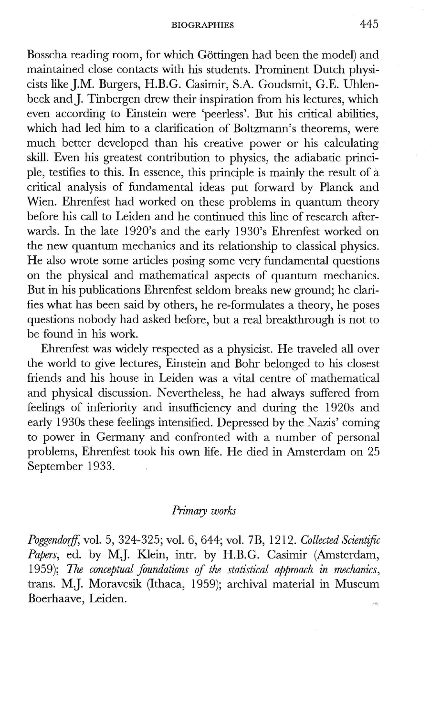## BIOGRAPHIES 445

Bosscha reading room, for which Gottingen had been the model) and maintained close contacts with his students. Prominent Dutch physicists like ].M. Burgers, H.B.G. Casimir, S.A. Goudsmit, G.E. Uhlenbeck and J. Tinbergen drew their inspiration from his lectures, which even according to Einstein were 'peerless'. But his critical abilities, which had led him to a clarification of Boltzmann's theorems, were much better developed than his creative power or his calculating skill. Even his greatest contribution to physics, the adiabatic principle, testifies to this. **In** essence, this principle is mainly the result of a critical analysis of fundamental ideas put forward by Planck and Wien. Ehrenfest had worked on these problems in quantum theory before his call to Leiden and he continued this line of research afterwards. **In** the late 1920's and the early 1930's Ehrenfest worked on the new quantum mechanics and its relationship to classical physics. He also wrote some articles posing some very fundamental questions on the physical and mathematical aspects of quantum mechanics. But in his publications Ehrenfest seldom breaks new ground; he clarifies what has been said by others, he re-formulates a theory, he poses questions nobody had asked before, but a real breakthrough is not to be found in his work.

Ehrenfest was widely respected as a physicist. He traveled all over the world to give lectures, Einstein and Bohr belonged to his closest friends and his house in Leiden was a vital centre of mathematical and physical discussion. Nevertheless, he had always suffered from feelings of inferiority and insufficiency and during the 1920s and early 1930s these feelings intensified. Depressed by the Nazis' coming to power in Germany and confronted with a number of personal problems, Ehrenfest took his own life. He died in Amsterdam on 25 September 1933.

## *Primary works*

*PoggendoifJ,* vol. 5, 324-325; vol. 6, 644; vol. 7B, 1212. *Collected Scientific Papers,* ed. by **MJ.** Klein, intr. by H.B.G. Casimir (Amsterdam, 1959); The conceptual foundations of the statistical approach in mechanics, trans. **MJ.** Moravcsik (Ithaca, 1959); archival material in Museum Boerhaave, Leiden.